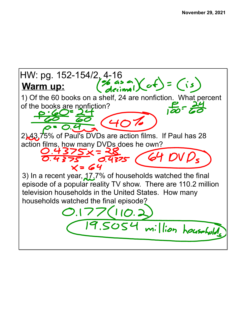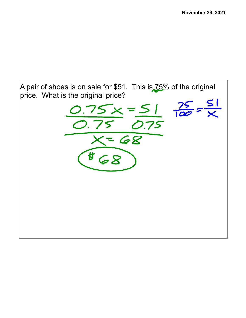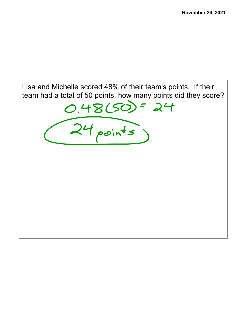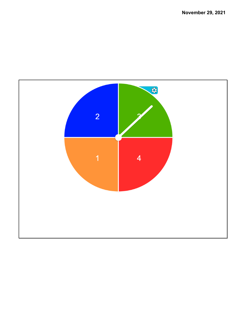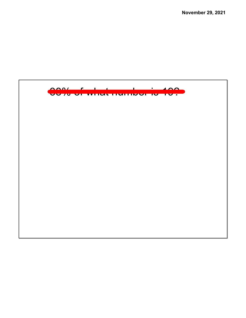**November 29, 2021**

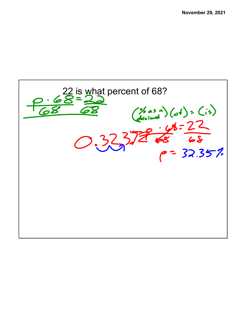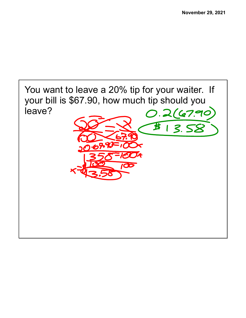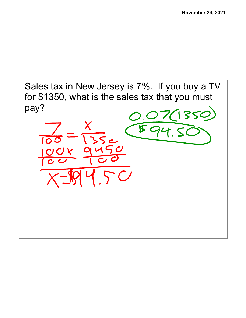